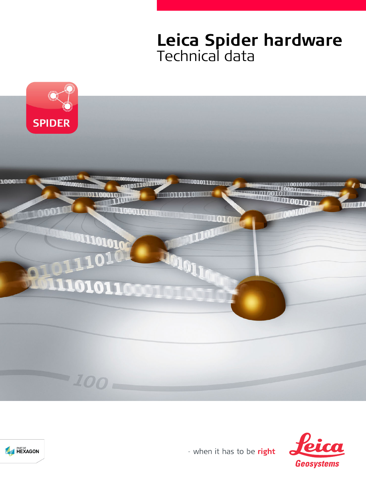# **Leica Spider hardware** Technical data





- when it has to be right

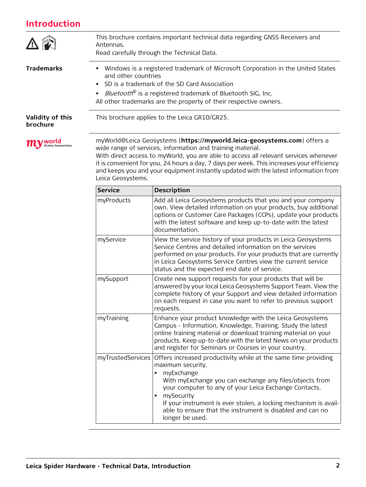# **Introduction**

| Introduction                        |                                                                                                                                                                                                                                                                                                                                                                                                                                         |                                                                                                                                                                                                                                                                                                                                                                                         |  |  |  |
|-------------------------------------|-----------------------------------------------------------------------------------------------------------------------------------------------------------------------------------------------------------------------------------------------------------------------------------------------------------------------------------------------------------------------------------------------------------------------------------------|-----------------------------------------------------------------------------------------------------------------------------------------------------------------------------------------------------------------------------------------------------------------------------------------------------------------------------------------------------------------------------------------|--|--|--|
|                                     | This brochure contains important technical data regarding GNSS Receivers and<br>Antennas.<br>Read carefully through the Technical Data.                                                                                                                                                                                                                                                                                                 |                                                                                                                                                                                                                                                                                                                                                                                         |  |  |  |
| <b>Trademarks</b>                   | • Windows is a registered trademark of Microsoft Corporation in the United States<br>and other countries<br>SD is a trademark of the SD Card Association<br>• <i>Bluetooth®</i> is a registered trademark of Bluetooth SIG, Inc.<br>All other trademarks are the property of their respective owners.                                                                                                                                   |                                                                                                                                                                                                                                                                                                                                                                                         |  |  |  |
| <b>Validity of this</b><br>brochure |                                                                                                                                                                                                                                                                                                                                                                                                                                         | This brochure applies to the Leica GR10/GR25.                                                                                                                                                                                                                                                                                                                                           |  |  |  |
| @Leica Geosystems                   | myWorld@Leica Geosystems (https://myworld.leica-geosystems.com) offers a<br>wide range of services, information and training material.<br>With direct access to myWorld, you are able to access all relevant services whenever<br>it is convenient for you, 24 hours a day, 7 days per week. This increases your efficiency<br>and keeps you and your equipment instantly updated with the latest information from<br>Leica Geosystems. |                                                                                                                                                                                                                                                                                                                                                                                         |  |  |  |
|                                     | <b>Service</b>                                                                                                                                                                                                                                                                                                                                                                                                                          | <b>Description</b>                                                                                                                                                                                                                                                                                                                                                                      |  |  |  |
|                                     | myProducts                                                                                                                                                                                                                                                                                                                                                                                                                              | Add all Leica Geosystems products that you and your company<br>own. View detailed information on your products, buy additional<br>options or Customer Care Packages (CCPs), update your products<br>with the latest software and keep up-to-date with the latest<br>documentation.                                                                                                      |  |  |  |
|                                     | myService                                                                                                                                                                                                                                                                                                                                                                                                                               | View the service history of your products in Leica Geosystems<br>Service Centres and detailed information on the services<br>performed on your products. For your products that are currently<br>in Leica Geosystems Service Centres view the current service<br>status and the expected end date of service.                                                                           |  |  |  |
|                                     | mySupport                                                                                                                                                                                                                                                                                                                                                                                                                               | Create new support requests for your products that will be<br>answered by your local Leica Geosystems Support Team. View the<br>complete history of your Support and view detailed information<br>on each request in case you want to refer to previous support<br>requests.                                                                                                            |  |  |  |
|                                     | myTraining                                                                                                                                                                                                                                                                                                                                                                                                                              | Enhance your product knowledge with the Leica Geosystems<br>Campus - Information, Knowledge, Training. Study the latest<br>online training material or download training material on your<br>products. Keep up-to-date with the latest News on your products<br>and register for Seminars or Courses in your country.                                                                   |  |  |  |
|                                     | myTrustedServices                                                                                                                                                                                                                                                                                                                                                                                                                       | Offers increased productivity while at the same time providing<br>maximum security.<br>myExchange<br>With myExchange you can exchange any files/objects from<br>your computer to any of your Leica Exchange Contacts.<br>mySecurity<br>If your instrument is ever stolen, a locking mechanism is avail-<br>able to ensure that the instrument is disabled and can no<br>longer be used. |  |  |  |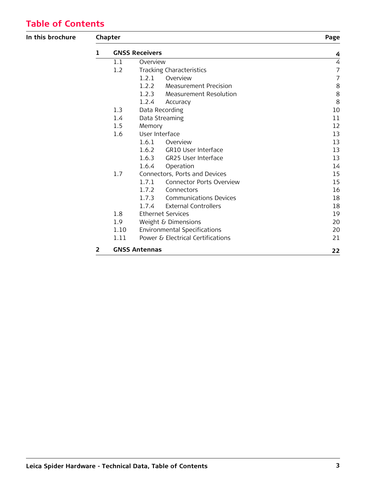# **Table of Contents**

### **In this brochure Chapter Page [1](#page-3-0) GNSS Receivers [4](#page-3-0)** [1.1](#page-3-1) Overview [4](#page-3-1) [1.2](#page-6-0) Tracking Characteristics [7](#page-6-0) [1.2.1](#page-6-1) Overview [7](#page-6-1) [1.2.2](#page-7-0) Measurement Precision [8](#page-7-0) [1.2.3](#page-7-1) Measurement Resolution [8](#page-7-1) [1.2.4](#page-7-2) Accuracy [8](#page-7-2) [1.3](#page-9-0) Data Recording [10](#page-9-0) [1.4](#page-10-0) Data Streaming [11](#page-10-0) [1.5](#page-11-0) Memory [12](#page-11-0) [1.6](#page-12-0) User Interface [13](#page-12-0) [1.6.1](#page-12-1) Overview [13](#page-12-1) [1.6.2](#page-12-2) GR10 User Interface [13](#page-12-2) [1.6.3](#page-12-3) GR25 User Interface [13](#page-12-3) [1.6.4](#page-13-0) Operation [14](#page-13-0) [1.7](#page-14-0) Connectors, Ports and Devices [15](#page-14-0) [1.7.1](#page-14-1) Connector Ports Overview [15](#page-14-1) [1.7.2](#page-15-0) Connectors [16](#page-15-0) [1.7.3](#page-17-0) Communications Devices [18](#page-17-0) [1.7.4](#page-17-1) External Controllers [18](#page-17-1) [1.8](#page-18-0) Ethernet Services [19](#page-18-0) [1.9](#page-19-0) Weight & Dimensions [20](#page-19-0) [1.10](#page-19-1) Environmental Specifications [20](#page-19-1) [1.11](#page-20-0) Power & Electrical Certifications [21](#page-20-0)

**[2](#page-21-0) GNSS Antennas [22](#page-21-0)**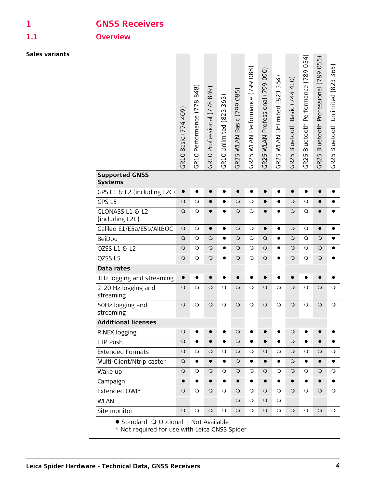# <span id="page-3-0"></span>**1 GNSS Receivers**

<span id="page-3-1"></span>

# **1.1 Overview**

|                                                                                        | GR10 Basic (774 409) | 848<br>Performance (778<br>GR <sub>10</sub> | Professional (778 849<br><b>GR10</b> | 363<br>GR10 Unlimited (823 | Basic (799 085)<br><b>WLAN</b><br><b>GR25</b> | WLAN Performance (799 088)<br>GR25 | WLAN Professional (799 090)<br>GR25 | 364)<br>WLAN Unlimited (823<br>GR25 | Bluetooth Basic (744 410)<br>GR25 | 054)<br>Bluetooth Performance (789<br>GR25 | Bluetooth Professional (789 055<br>GR25 | 365)<br>GR25 Bluetooth Unlimited (823 |
|----------------------------------------------------------------------------------------|----------------------|---------------------------------------------|--------------------------------------|----------------------------|-----------------------------------------------|------------------------------------|-------------------------------------|-------------------------------------|-----------------------------------|--------------------------------------------|-----------------------------------------|---------------------------------------|
| <b>Supported GNSS</b><br><b>Systems</b>                                                |                      |                                             |                                      |                            |                                               |                                    |                                     |                                     |                                   |                                            |                                         |                                       |
| GPS L1 & L2 (including L2C)                                                            | $\bullet$            | $\bullet$                                   | $\bullet$                            | $\bullet$                  | $\bullet$                                     | $\bullet$                          | $\bullet$                           | $\bullet$                           | $\bullet$                         | $\bullet$                                  | $\bullet$                               | $\bullet$                             |
| GPS L5                                                                                 | $\circ$              | $\circ$                                     |                                      |                            | $\circ$                                       | $\circ$                            | $\bullet$                           | $\bullet$                           | $\circ$                           | $\circ$                                    | $\bullet$                               |                                       |
| GLONASS L1 & L2<br>(including L2C)                                                     | $\circ$              | $\circ$                                     | $\bullet$                            | $\bullet$                  | $\circ$                                       | $\circ$                            | $\bullet$                           | $\bullet$                           | $\bigcirc$                        | $\circ$                                    | $\bullet$                               |                                       |
| Galileo E1/E5a/E5b/AltBOC                                                              | $\circ$              | $\circ$                                     | $\bullet$                            | $\bullet$                  | $\circ$                                       | $\circ$                            | $\bullet$                           | $\bullet$                           | $\circ$                           | $\bigcirc$                                 | $\bullet$                               | $\bullet$                             |
| BeiDou                                                                                 | $\circ$              | $\circ$                                     | $\circ$                              | $\bullet$                  | $\circ$                                       | $\circ$                            | $\circ$                             | $\bullet$                           | $\circ$                           | $\circ$                                    | $\circ$                                 |                                       |
| QZSS L1 & L2                                                                           | $\circ$              | $\circ$                                     | $\circ$                              | $\bullet$                  | $\circ$                                       | $\circ$                            | $\circ$                             | $\bullet$                           | $\circ$                           | $\circ$                                    | $\circ$                                 | $\bullet$                             |
| QZSS L5                                                                                | $\circ$              | $\circ$                                     | $\circ$                              | $\bullet$                  | $\circ$                                       | $\circ$                            | $\circ$                             | $\bullet$                           | $\circ$                           | $\circ$                                    | $\circ$                                 | $\bullet$                             |
| Data rates                                                                             |                      |                                             |                                      |                            |                                               |                                    |                                     |                                     |                                   |                                            |                                         |                                       |
| 1Hz logging and streaming                                                              | $\bullet$            | $\bullet$                                   | $\bullet$                            | $\bullet$                  | $\bullet$                                     | $\bullet$                          | $\bullet$                           | $\bullet$                           | $\bullet$                         | $\bullet$                                  | $\bullet$                               | $\bullet$                             |
| 2-20 Hz logging and<br>streaming                                                       | $\circ$              | $\circ$                                     | $\circ$                              | $\circ$                    | $\circ$                                       | $\circ$                            | $\circ$                             | $\circ$                             | $\circ$                           | $\circ$                                    | $\circ$                                 | $\circ$                               |
| 50Hz logging and<br>streaming                                                          | $\circ$              | $\circ$                                     | $\circ$                              | $\circ$                    | $\circ$                                       | $\circ$                            | $\circ$                             | $\circ$                             | $\circ$                           | $\circ$                                    | $\circ$                                 | $\circ$                               |
| <b>Additional licenses</b>                                                             |                      |                                             |                                      |                            |                                               |                                    |                                     |                                     |                                   |                                            |                                         |                                       |
| <b>RINEX logging</b>                                                                   | $\circ$              | $\bullet$                                   | $\bullet$                            | $\bullet$                  | $\circ$                                       | $\bullet$                          | $\bullet$                           | $\bullet$                           | $\circ$                           | $\bullet$                                  | $\bullet$                               | $\bullet$                             |
| FTP Push                                                                               | $\circ$              |                                             |                                      | $\bullet$                  | $\circ$                                       | $\bullet$                          | $\bullet$                           | $\bullet$                           | $\circ$                           | $\bullet$                                  | $\bullet$                               |                                       |
| <b>Extended Formats</b>                                                                | $\circ$              | $\circ$                                     | $\circ$                              | $\circ$                    | $\circ$                                       | $\circ$                            | $\circ$                             | $\circ$                             | $\circ$                           | $\circ$                                    | $\circ$                                 | $\circ$                               |
| Multi-Client/Ntrip caster                                                              | $\circ$              | $\bullet$                                   | $\bullet$                            | $\bullet$                  | $\circ$                                       | $\bullet$                          | $\bullet$                           | $\bullet$                           | $\circ$                           | $\bullet$                                  | $\bullet$                               | $\bullet$                             |
| Wake up                                                                                | $\circ$              | $\circ$                                     | $\circ$                              | $\circ$                    | $\circ$                                       | $\circ$                            | $\circ$                             | $\circ$                             | $\circ$                           | $\circ$                                    | $\circ$                                 | $\circ$                               |
| Campaign                                                                               | $\bullet$            | $\bullet$                                   | $\bullet$                            | $\bullet$                  | $\bullet$                                     | $\bullet$                          | $\bullet$                           | $\bullet$                           | $\bullet$                         | $\bullet$                                  | $\bullet$                               | $\bullet$                             |
| Extended OWI*                                                                          | $\circ$              | $\circ$                                     | $\circ$                              | $\circ$                    | $\circ$                                       | $\circ$                            | $\circ$                             | $\circ$                             | $\circ$                           | $\circ$                                    | $\circ$                                 | $\circ$                               |
| <b>WLAN</b>                                                                            |                      |                                             |                                      | ÷,                         | $\circ$                                       | $\circ$                            | $\circ$                             | $\circ$                             |                                   | -                                          | $\overline{\phantom{m}}$                |                                       |
| Site monitor                                                                           | $\circ$              | $\circ$                                     | $\circ$                              | $\circ$                    | $\circ$                                       | $\bigcirc$                         | $\circ$                             | $\circ$                             | $\circ$                           | $\circ$                                    | $\circ$                                 | $\circ$                               |
| · Standard O Optional - Not Available<br>* Not required for use with Leica GNSS Spider |                      |                                             |                                      |                            |                                               |                                    |                                     |                                     |                                   |                                            |                                         |                                       |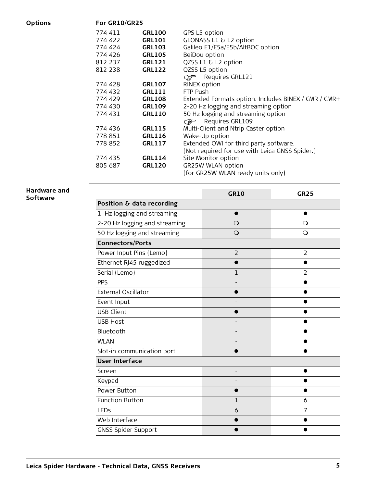**Options For GR10/GR25**

| 774 411<br>774 422<br>774 424<br>774 426<br>812 237<br>812 238 | <b>GRL100</b><br>GRL101<br><b>GRL103</b><br><b>GRL105</b><br>GRL121<br><b>GRL122</b> | GPS L5 option<br>GLONASS L1 & L2 option<br>Galileo E1/E5a/E5b/AltBOC option<br>BeiDou option<br>QZSS L1 & L2 option<br>QZSS L5 option<br>Requires GRL121<br><b>PETE</b> |
|----------------------------------------------------------------|--------------------------------------------------------------------------------------|-------------------------------------------------------------------------------------------------------------------------------------------------------------------------|
| 774 428                                                        | <b>GRL107</b>                                                                        | <b>RINEX option</b>                                                                                                                                                     |
| 774 432                                                        | GRL111                                                                               | FTP Push                                                                                                                                                                |
| 774 429                                                        | GRL108                                                                               | Extended Formats option. Includes BINEX / CMR / CMR+                                                                                                                    |
| 774 430                                                        | <b>GRL109</b>                                                                        | 2-20 Hz logging and streaming option                                                                                                                                    |
| 774 431                                                        | <b>GRL110</b>                                                                        | 50 Hz logging and streaming option                                                                                                                                      |
|                                                                |                                                                                      | Requires GRL109<br><b>P</b>                                                                                                                                             |
| 774 436                                                        | GRL115                                                                               | Multi-Client and Ntrip Caster option                                                                                                                                    |
| 778 851                                                        | GRL116                                                                               | Wake-Up option                                                                                                                                                          |
| 778 852                                                        | <b>GRL117</b>                                                                        | Extended OWI for third party software.                                                                                                                                  |
|                                                                |                                                                                      | (Not required for use with Leica GNSS Spider.)                                                                                                                          |
| 774 435                                                        | GRL114                                                                               | Site Monitor option                                                                                                                                                     |
| 805 687                                                        | <b>GRL120</b>                                                                        | <b>GR25W WLAN option</b>                                                                                                                                                |
|                                                                |                                                                                      | (for GR25W WLAN ready units only)                                                                                                                                       |

#### **Hardware and Software**

|                               | <b>GR10</b>    | <b>GR25</b>    |  |  |  |  |
|-------------------------------|----------------|----------------|--|--|--|--|
| Position & data recording     |                |                |  |  |  |  |
| 1 Hz logging and streaming    |                |                |  |  |  |  |
| 2-20 Hz logging and streaming | $\bigcirc$     | $\circ$        |  |  |  |  |
| 50 Hz logging and streaming   | $\circ$        | $\circ$        |  |  |  |  |
| <b>Connectors/Ports</b>       |                |                |  |  |  |  |
| Power Input Pins (Lemo)       | $\overline{2}$ | $\overline{2}$ |  |  |  |  |
| Ethernet RJ45 ruggedized      |                |                |  |  |  |  |
| Serial (Lemo)                 | 1              | 2              |  |  |  |  |
| <b>PPS</b>                    |                |                |  |  |  |  |
| <b>External Oscillator</b>    |                |                |  |  |  |  |
| Event Input                   |                |                |  |  |  |  |
| <b>USB Client</b>             |                |                |  |  |  |  |
| <b>USB Host</b>               |                |                |  |  |  |  |
| Bluetooth                     |                |                |  |  |  |  |
| <b>WLAN</b>                   |                |                |  |  |  |  |
| Slot-in communication port    |                |                |  |  |  |  |
| <b>User Interface</b>         |                |                |  |  |  |  |
| Screen                        |                |                |  |  |  |  |
| Keypad                        |                |                |  |  |  |  |
| Power Button                  |                |                |  |  |  |  |
| <b>Function Button</b>        | 1              | 6              |  |  |  |  |
| LEDs                          | 6              | 7              |  |  |  |  |
| Web Interface                 |                |                |  |  |  |  |
| <b>GNSS Spider Support</b>    |                |                |  |  |  |  |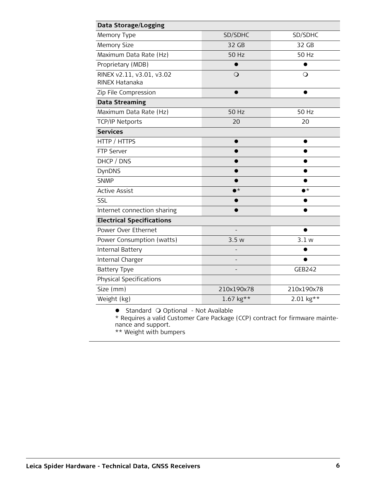| Data Storage/Logging                        |                             |                   |  |  |  |  |
|---------------------------------------------|-----------------------------|-------------------|--|--|--|--|
| Memory Type                                 | SD/SDHC                     | SD/SDHC           |  |  |  |  |
| <b>Memory Size</b>                          | 32 GB                       | 32 GB             |  |  |  |  |
| Maximum Data Rate (Hz)                      | <b>50 Hz</b>                | <b>50 Hz</b>      |  |  |  |  |
| Proprietary (MDB)                           |                             |                   |  |  |  |  |
| RINEX v2.11, v3.01, v3.02<br>RINEX Hatanaka | $\bigcirc$                  | O                 |  |  |  |  |
| Zip File Compression                        |                             | ●                 |  |  |  |  |
| <b>Data Streaming</b>                       |                             |                   |  |  |  |  |
| Maximum Data Rate (Hz)                      | 50 Hz                       | 50 Hz             |  |  |  |  |
| <b>TCP/IP Netports</b>                      | 20                          | 20                |  |  |  |  |
| <b>Services</b>                             |                             |                   |  |  |  |  |
| HTTP / HTTPS                                |                             |                   |  |  |  |  |
| FTP Server                                  |                             |                   |  |  |  |  |
| DHCP / DNS                                  |                             |                   |  |  |  |  |
| DynDNS                                      |                             |                   |  |  |  |  |
| <b>SNMP</b>                                 |                             |                   |  |  |  |  |
| <b>Active Assist</b>                        | $\bullet$ $\star$           | $\bullet^{\star}$ |  |  |  |  |
| SSL                                         |                             |                   |  |  |  |  |
| Internet connection sharing                 |                             |                   |  |  |  |  |
| <b>Electrical Specifications</b>            |                             |                   |  |  |  |  |
| Power Over Ethernet                         |                             |                   |  |  |  |  |
| Power Consumption (watts)                   | 3.5w                        | 3.1 w             |  |  |  |  |
| Internal Battery                            |                             |                   |  |  |  |  |
| Internal Charger                            |                             |                   |  |  |  |  |
| <b>Battery Tpye</b>                         |                             | <b>GEB242</b>     |  |  |  |  |
| <b>Physical Specifications</b>              |                             |                   |  |  |  |  |
| Size (mm)                                   | 210x190x78                  | 210x190x78        |  |  |  |  |
| Weight (kg)                                 | $1.67$ kg**                 | 2.01 kg**         |  |  |  |  |
|                                             | <b>THE REPORT OF STREET</b> |                   |  |  |  |  |

• Standard O Optional - Not Available

\* Requires a valid Customer Care Package (CCP) contract for firmware maintenance and support.

\*\* Weight with bumpers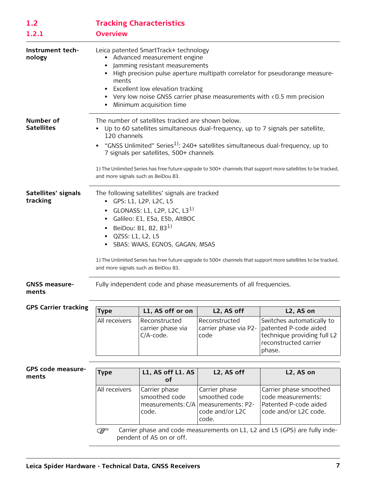<span id="page-6-1"></span><span id="page-6-0"></span>

| 1.2<br>1.2.1                    | <b>Overview</b>                                                                                                                                                                                                                                                                                                                                                                                                                                      | <b>Tracking Characteristics</b>                                                                                                                                                                                              |                                                                   |           |  |  |  |  |
|---------------------------------|------------------------------------------------------------------------------------------------------------------------------------------------------------------------------------------------------------------------------------------------------------------------------------------------------------------------------------------------------------------------------------------------------------------------------------------------------|------------------------------------------------------------------------------------------------------------------------------------------------------------------------------------------------------------------------------|-------------------------------------------------------------------|-----------|--|--|--|--|
| Instrument tech-<br>nology      | Leica patented SmartTrack+ technology<br>Advanced measurement engine<br>Jamming resistant measurements<br>High precision pulse aperture multipath correlator for pseudorange measure-<br>ments<br>Excellent low elevation tracking<br>• Very low noise GNSS carrier phase measurements with $\langle 0.5 \rangle$ mm precision<br>Minimum acquisition time                                                                                           |                                                                                                                                                                                                                              |                                                                   |           |  |  |  |  |
| Number of<br><b>Satellites</b>  | The number of satellites tracked are shown below.<br>Up to 60 satellites simultaneous dual-frequency, up to 7 signals per satellite,<br>120 channels<br>"GNSS Unlimited" Series <sup>1)</sup> : 240+ satellites simultaneous dual-frequency, up to<br>7 signals per satellites, 500+ channels<br>1) The Unlimited Series has free future upgrade to 500+ channels that support more satellites to be tracked,<br>and more signals such as BeiDou B3. |                                                                                                                                                                                                                              |                                                                   |           |  |  |  |  |
| Satellites' signals<br>tracking | The following satellites' signals are tracked<br>• GPS: L1, L2P, L2C, L5<br>GLONASS: L1, L2P, L2C, L3 $^{11}$<br>$\bullet$<br>Galileo: E1, E5a, E5b, AltBOC<br>BeiDou: B1, B2, B3 $^{1}$<br>QZSS: L1, L2, L5<br>SBAS: WAAS, EGNOS, GAGAN, MSAS<br>1) The Unlimited Series has free future upgrade to 500+ channels that support more satellites to be tracked,<br>and more signals such as BeiDou B3.                                                |                                                                                                                                                                                                                              |                                                                   |           |  |  |  |  |
| <b>GNSS measure-</b><br>ments   |                                                                                                                                                                                                                                                                                                                                                                                                                                                      |                                                                                                                                                                                                                              | Fully independent code and phase measurements of all frequencies. |           |  |  |  |  |
| <b>GPS Carrier tracking</b>     | <b>Type</b>                                                                                                                                                                                                                                                                                                                                                                                                                                          | L1, AS off or on                                                                                                                                                                                                             | L2, AS off                                                        | L2, AS on |  |  |  |  |
|                                 | All receivers                                                                                                                                                                                                                                                                                                                                                                                                                                        | Reconstructed<br>Reconstructed<br>Switches automatically to<br>patented P-code aided<br>carrier phase via<br>carrier phase via P2-<br>$C/A$ -code.<br>technique providing full L2<br>code<br>reconstructed carrier<br>phase. |                                                                   |           |  |  |  |  |
| GPS code measure-               |                                                                                                                                                                                                                                                                                                                                                                                                                                                      |                                                                                                                                                                                                                              |                                                                   |           |  |  |  |  |
| ments                           | <b>Type</b>                                                                                                                                                                                                                                                                                                                                                                                                                                          | L1, AS off L1. AS<br>of                                                                                                                                                                                                      | L2, AS off                                                        | L2, AS on |  |  |  |  |
|                                 | Carrier phase smoothed<br>code measurements:<br>Patented P-code aided<br>code and/or L2C code.                                                                                                                                                                                                                                                                                                                                                       |                                                                                                                                                                                                                              |                                                                   |           |  |  |  |  |
|                                 | Carrier phase and code measurements on L1, L2 and L5 (GPS) are fully inde-<br>$\mathbb{G}$<br>pendent of AS on or off.                                                                                                                                                                                                                                                                                                                               |                                                                                                                                                                                                                              |                                                                   |           |  |  |  |  |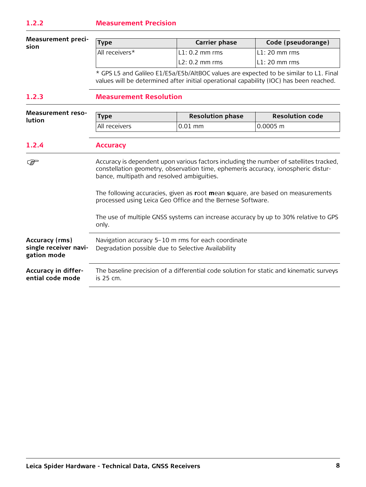<span id="page-7-0"></span>**Measurement prec sion**

| 1-<br>Type |                | <b>Carrier phase</b> | Code (pseudorange) |  |
|------------|----------------|----------------------|--------------------|--|
|            | All receivers* | $ L1:0.2$ mm rms     | L1: 20 mm rms      |  |
|            |                | L2: 0.2 mm rms       | L1: 20 mm rms      |  |

\* GPS L5 and Galileo E1/E5a/E5b/AltBOC values are expected to be similar to L1. Final values will be determined after initial operational capability (IOC) has been reached.

## <span id="page-7-1"></span>**1.2.3 Measurement Resolution**

<span id="page-7-2"></span>

| <b>Measurement reso-</b>                               |                                                                                                                                                                                                                                                                                                                                                                           |                         |                        |  |  |  |
|--------------------------------------------------------|---------------------------------------------------------------------------------------------------------------------------------------------------------------------------------------------------------------------------------------------------------------------------------------------------------------------------------------------------------------------------|-------------------------|------------------------|--|--|--|
| <b>lution</b>                                          | <b>Type</b>                                                                                                                                                                                                                                                                                                                                                               | <b>Resolution phase</b> | <b>Resolution code</b> |  |  |  |
|                                                        | All receivers                                                                                                                                                                                                                                                                                                                                                             | $0.01$ mm               | $0.0005$ m             |  |  |  |
| 1.2.4                                                  | <b>Accuracy</b>                                                                                                                                                                                                                                                                                                                                                           |                         |                        |  |  |  |
| کی                                                     | Accuracy is dependent upon various factors including the number of satellites tracked,<br>constellation geometry, observation time, ephemeris accuracy, ionospheric distur-<br>bance, multipath and resolved ambiguities.<br>The following accuracies, given as root mean square, are based on measurements<br>processed using Leica Geo Office and the Bernese Software. |                         |                        |  |  |  |
|                                                        | The use of multiple GNSS systems can increase accuracy by up to 30% relative to GPS<br>only.                                                                                                                                                                                                                                                                              |                         |                        |  |  |  |
| Accuracy (rms)<br>single receiver navi-<br>gation mode | Navigation accuracy 5-10 m rms for each coordinate<br>Degradation possible due to Selective Availability                                                                                                                                                                                                                                                                  |                         |                        |  |  |  |
| Accuracy in differ-<br>ential code mode                | The baseline precision of a differential code solution for static and kinematic surveys<br>is 25 cm.                                                                                                                                                                                                                                                                      |                         |                        |  |  |  |
|                                                        |                                                                                                                                                                                                                                                                                                                                                                           |                         |                        |  |  |  |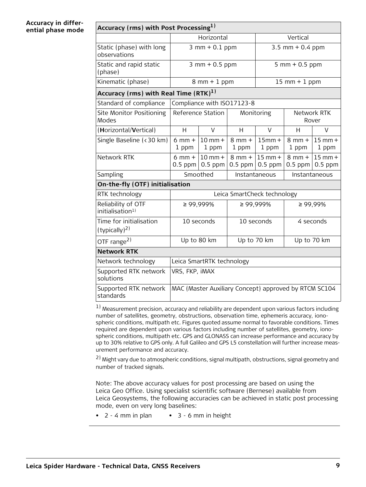#### **Accuracy in differential phase mode**

| Accuracy (rms) with Post Processing <sup>1)</sup> |                         |                                                       |                         |                             |                         |                        |  |
|---------------------------------------------------|-------------------------|-------------------------------------------------------|-------------------------|-----------------------------|-------------------------|------------------------|--|
|                                                   |                         | Horizontal                                            |                         | Vertical                    |                         |                        |  |
| Static (phase) with long<br>observations          |                         | $3$ mm + 0.1 ppm                                      |                         | 3.5 mm + $0.4$ ppm          |                         |                        |  |
| Static and rapid static<br>(phase)                |                         | $3$ mm + 0.5 ppm                                      |                         | $5$ mm + 0.5 ppm            |                         |                        |  |
| Kinematic (phase)                                 |                         | $8$ mm + $1$ ppm                                      |                         |                             | $15$ mm + 1 ppm         |                        |  |
| Accuracy (rms) with Real Time $(RTK)^{1}$         |                         |                                                       |                         |                             |                         |                        |  |
| Standard of compliance                            |                         | Compliance with ISO17123-8                            |                         |                             |                         |                        |  |
| Site Monitor Positioning<br>Modes                 |                         | Reference Station                                     |                         | Monitoring                  |                         | Network RTK<br>Rover   |  |
| (Horizontal/Vertical)                             | H                       | V                                                     | Н                       | $\vee$                      | Н                       | V                      |  |
| Single Baseline (<30 km)                          | $6$ mm $+$<br>1 ppm     | $10$ mm $+$<br>1 ppm                                  | $8$ mm $+$<br>1 ppm     | $15mm +$<br>1 ppm           | $8$ mm $+$<br>1 ppm     | $15$ mm $+$<br>1 ppm   |  |
| Network RTK                                       | $6$ mm $+$<br>$0.5$ ppm | $10$ mm $+$<br>$0.5$ ppm                              | $8$ mm $+$<br>$0.5$ ppm | $15$ mm +<br>$0.5$ ppm      | $8$ mm $+$<br>$0.5$ ppm | $15$ mm +<br>$0.5$ ppm |  |
| Sampling                                          | Smoothed                |                                                       | Instantaneous           |                             |                         | Instantaneous          |  |
| On-the-fly (OTF) initialisation                   |                         |                                                       |                         |                             |                         |                        |  |
| RTK technology                                    |                         |                                                       |                         | Leica SmartCheck technology |                         |                        |  |
| Reliability of OTF<br>initialisation <sup>1</sup> | $\geq 99,999\%$         |                                                       |                         | ≥ 99,999%                   |                         | $\geq 99,99\%$         |  |
| Time for initialisation<br>$(typically)^{2}$      | 10 seconds              |                                                       |                         | 10 seconds                  | 4 seconds               |                        |  |
| OTF range <sup>2)</sup>                           | Up to 80 km             |                                                       |                         | Up to 70 km<br>Up to 70 km  |                         |                        |  |
| <b>Network RTK</b>                                |                         |                                                       |                         |                             |                         |                        |  |
| Network technology                                |                         | Leica SmartRTK technology                             |                         |                             |                         |                        |  |
| Supported RTK network<br>solutions                | VRS, FKP, IMAX          |                                                       |                         |                             |                         |                        |  |
| Supported RTK network<br>standards                |                         | MAC (Master Auxiliary Concept) approved by RTCM SC104 |                         |                             |                         |                        |  |

1) Measurement precision, accuracy and reliability are dependent upon various factors including number of satellites, geometry, obstructions, observation time, ephemeris accuracy, ionospheric conditions, multipath etc. Figures quoted assume normal to favorable conditions. Times required are dependent upon various factors including number of satellites, geometry, ionospheric conditions, multipath etc. GPS and GLONASS can increase performance and accuracy by up to 30% relative to GPS only. A full Galileo and GPS L5 constellation will further increase measurement performance and accuracy.

2) Might vary due to atmospheric conditions, signal multipath, obstructions, signal geometry and number of tracked signals.

Note: The above accuracy values for post processing are based on using the Leica Geo Office. Using specialist scientific software (Bernese) available from Leica Geosystems, the following accuracies can be achieved in static post processing mode, even on very long baselines:

• 2 - 4 mm in plan • 3 - 6 mm in height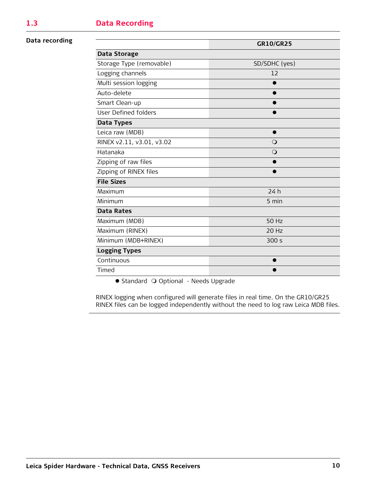#### <span id="page-9-0"></span>**Data recording**

|                             | <b>GR10/GR25</b> |
|-----------------------------|------------------|
| Data Storage                |                  |
| Storage Type (removable)    | SD/SDHC (yes)    |
| Logging channels            | 12               |
| Multi session logging       |                  |
| Auto-delete                 |                  |
| Smart Clean-up              |                  |
| <b>User Defined folders</b> |                  |
| Data Types                  |                  |
| Leica raw (MDB)             |                  |
| RINEX v2.11, v3.01, v3.02   | $\bigcirc$       |
| Hatanaka                    | $\bigcirc$       |
| Zipping of raw files        |                  |
| Zipping of RINEX files      |                  |
| <b>File Sizes</b>           |                  |
| Maximum                     | 24h              |
| Minimum                     | 5 min            |
| <b>Data Rates</b>           |                  |
| Maximum (MDB)               | 50 Hz            |
| Maximum (RINEX)             | 20 Hz            |
| Minimum (MDB+RINEX)         | 300s             |
| <b>Logging Types</b>        |                  |
| Continuous                  |                  |
| Timed                       |                  |

● Standard ○ Optional - Needs Upgrade

RINEX logging when configured will generate files in real time. On the GR10/GR25 RINEX files can be logged independently without the need to log raw Leica MDB files.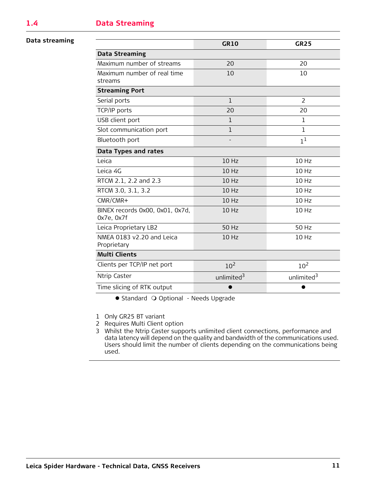#### <span id="page-10-0"></span>**Data streaming**

|                                               | <b>GR10</b>            | <b>GR25</b>            |
|-----------------------------------------------|------------------------|------------------------|
| <b>Data Streaming</b>                         |                        |                        |
| Maximum number of streams                     | 20                     | 20                     |
| Maximum number of real time<br>streams        | 10                     | 10                     |
| <b>Streaming Port</b>                         |                        |                        |
| Serial ports                                  | $\mathbf{1}$           | $\overline{2}$         |
| TCP/IP ports                                  | 20                     | 20                     |
| USB client port                               | $\mathbf{1}$           | 1                      |
| Slot communication port                       | $\mathbf{1}$           | 1                      |
| Bluetooth port                                |                        | 1 <sup>1</sup>         |
| Data Types and rates                          |                        |                        |
| Leica                                         | 10 Hz                  | 10 Hz                  |
| Leica 4G                                      | 10 Hz                  | 10 Hz                  |
| RTCM 2.1, 2.2 and 2.3                         | 10 Hz                  | 10 Hz                  |
| RTCM 3.0, 3.1, 3.2                            | 10 Hz                  | 10 Hz                  |
| $CMR/CMR+$                                    | 10 Hz                  | 10 Hz                  |
| BINEX records 0x00, 0x01, 0x7d,<br>0x7e, 0x7f | 10 Hz                  | 10 Hz                  |
| Leica Proprietary LB2                         | 50 Hz                  | 50 Hz                  |
| NMEA 0183 v2.20 and Leica<br>Proprietary      | 10 Hz                  | 10 Hz                  |
| <b>Multi Clients</b>                          |                        |                        |
| Clients per TCP/IP net port                   | 10 <sup>2</sup>        | 10 <sup>2</sup>        |
| Ntrip Caster                                  | unlimited <sup>3</sup> | unlimited <sup>3</sup> |
| Time slicing of RTK output                    |                        |                        |

● Standard ○ Optional - Needs Upgrade

1 Only GR25 BT variant

2 Requires Multi Client option

3 Whilst the Ntrip Caster supports unlimited client connections, performance and data latency will depend on the quality and bandwidth of the communications used. Users should limit the number of clients depending on the communications being used.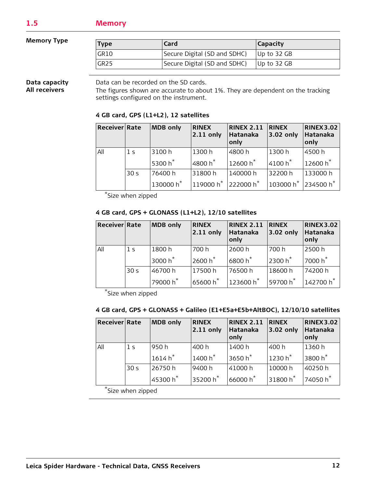#### <span id="page-11-0"></span>**Memory Type**

| Type             | Card                         | <b>Capacity</b> |
|------------------|------------------------------|-----------------|
| GR10             | Secure Digital (SD and SDHC) | Up to 32 GB     |
| GR <sub>25</sub> | Secure Digital (SD and SDHC) | Up to 32 GB     |

#### **Data capacity All receivers**

Data can be recorded on the SD cards.

The figures shown are accurate to about 1%. They are dependent on the tracking settings configured on the instrument.

#### **4 GB card, GPS (L1+L2), 12 satellites**

| Receiver Rate |                 | <b>MDB</b> only     | <b>RINEX</b><br>$2.11$ only                 | <b>RINEX 2.11</b><br>Hatanaka<br>only | <b>RINEX</b><br>$3.02$ only | <b>RINEX 3.02</b><br>Hatanaka<br>only |
|---------------|-----------------|---------------------|---------------------------------------------|---------------------------------------|-----------------------------|---------------------------------------|
| All           | 1 <sup>5</sup>  | 3100h               | 1300 h                                      | 4800h                                 | 1300h                       | 4500h                                 |
|               |                 | 5300 h <sup>*</sup> | 4800 h <sup>*</sup>                         | 12600 $h^*$                           | $4100h*$                    | 12600 h <sup>*</sup>                  |
|               | 30 <sub>s</sub> | 76400 h             | 31800h                                      | 140000 h                              | 32200 h                     | 133000 h                              |
|               |                 | 130000 $h^*$        | 119000 h <sup>*</sup> 222000 h <sup>*</sup> |                                       | $103000 h^*$ 234500 $h^*$   |                                       |

\*Size when zipped

#### **4 GB card, GPS + GLONASS (L1+L2), 12/10 satellites**

| Receiver Rate |                 | <b>MDB</b> only      | <b>RINEX</b><br>$2.11$ only | <b>RINEX 2.11</b><br>Hatanaka<br>only | <b>RINEX</b><br>3.02 only         | <b>RINEX 3.02</b><br>Hatanaka<br>only |
|---------------|-----------------|----------------------|-----------------------------|---------------------------------------|-----------------------------------|---------------------------------------|
| All           | 1 <sup>5</sup>  | 1800h                | 700 h                       | 2600h                                 | 700 h                             | 2500h                                 |
|               |                 | $13000 h^*$          | $12600 h^*$                 | $^{\shortmid}$ 6800 h $^{\star}$      | 2300 $h^*$                        | $^{\shortmid}$ 7000 h $^{\star}$      |
|               | 30 <sub>s</sub> | 46700h               | 17500h                      | 76500h                                | 18600h                            | 74200 h                               |
|               |                 | 79000 h <sup>*</sup> | $65600 h*$                  | $123600 h^*$                          | $^{\shortmid}$ 59700 h $^{\star}$ | 142700 h <sup>*</sup>                 |

\*Size when zipped

#### **4 GB card, GPS + GLONASS + Galileo (E1+E5a+E5b+AltBOC), 12/10/10 satellites**

| <b>Receiver Rate</b> |                 | <b>MDB</b> only                | <b>RINEX</b><br>$2.11$ only       | <b>RINEX 2.11</b><br>Hatanaka<br>only | <b>RINEX</b><br>3.02 only         | <b>RINEX3.02</b><br>Hatanaka<br>only |
|----------------------|-----------------|--------------------------------|-----------------------------------|---------------------------------------|-----------------------------------|--------------------------------------|
| All                  | 1 <sup>5</sup>  | 950h                           | 400 h                             | 1400 h                                | 400 h                             | 1360h                                |
|                      |                 | $^{\dagger}$ 1614 h $^{\star}$ | $1400h^*$                         | $3650h^*$                             | $1230h*$                          | $^{\prime}$ 3800 h $^{\star}$        |
|                      | 30 <sub>s</sub> | 26750h                         | 9400 h                            | 41000h                                | 10000 h                           | 40250 h                              |
|                      |                 | 45300 h <sup>*</sup>           | $^{\shortmid}$ 35200 h $^{\star}$ | 66000 $h^*$                           | $^{\shortmid}$ 31800 h $^{\star}$ | 74050 h <sup>*</sup>                 |

\*Size when zipped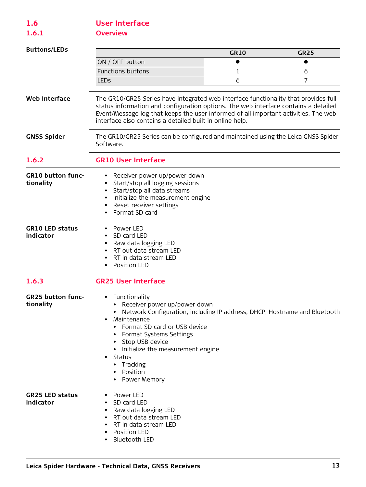# <span id="page-12-1"></span><span id="page-12-0"></span>**1.6 User Interface**

**1.6.1 Overview**

<span id="page-12-3"></span><span id="page-12-2"></span>

| <b>Buttons/LEDs</b>                   |                                                                                                                                                                                                                                                                                                                                                           | <b>GR10</b> | <b>GR25</b> |
|---------------------------------------|-----------------------------------------------------------------------------------------------------------------------------------------------------------------------------------------------------------------------------------------------------------------------------------------------------------------------------------------------------------|-------------|-------------|
|                                       | ON / OFF button                                                                                                                                                                                                                                                                                                                                           | $\bullet$   | $\bullet$   |
|                                       | <b>Functions buttons</b>                                                                                                                                                                                                                                                                                                                                  | 1           | 6           |
|                                       | <b>LEDs</b>                                                                                                                                                                                                                                                                                                                                               | 6           | 7           |
| <b>Web Interface</b>                  | The GR10/GR25 Series have integrated web interface functionality that provides full<br>status information and configuration options. The web interface contains a detailed<br>Event/Message log that keeps the user informed of all important activities. The web<br>interface also contains a detailed built in online help.                             |             |             |
| <b>GNSS Spider</b>                    | The GR10/GR25 Series can be configured and maintained using the Leica GNSS Spider<br>Software.                                                                                                                                                                                                                                                            |             |             |
| 1.6.2                                 | <b>GR10 User Interface</b>                                                                                                                                                                                                                                                                                                                                |             |             |
| <b>GR10 button func-</b><br>tionality | Receiver power up/power down<br>Start/stop all logging sessions<br>$\bullet$<br>Start/stop all data streams<br>$\bullet$<br>Initialize the measurement engine<br>Reset receiver settings<br>٠<br>Format SD card                                                                                                                                           |             |             |
| <b>GR10 LED status</b><br>indicator   | • Power LED<br>SD card LED<br>$\bullet$<br>Raw data logging LED<br>$\bullet$<br>RT out data stream LED<br>$\bullet$<br>RT in data stream LED<br>Position LED                                                                                                                                                                                              |             |             |
| 1.6.3                                 | <b>GR25 User Interface</b>                                                                                                                                                                                                                                                                                                                                |             |             |
| <b>GR25 button func-</b><br>tionality | Functionality<br>$\bullet$<br>Receiver power up/power down<br>Network Configuration, including IP address, DHCP, Hostname and Bluetooth<br>Maintenance<br>Format SD card or USB device<br>Format Systems Settings<br>• Stop USB device<br>Initialize the measurement engine<br>Status<br>$\bullet$<br>Tracking<br>$\bullet$<br>Position<br>• Power Memory |             |             |
| <b>GR25 LED status</b><br>indicator   | Power LED<br>SD card LED<br>Raw data logging LED<br>RT out data stream LED<br>RT in data stream LED<br>Position LED<br><b>Bluetooth LED</b>                                                                                                                                                                                                               |             |             |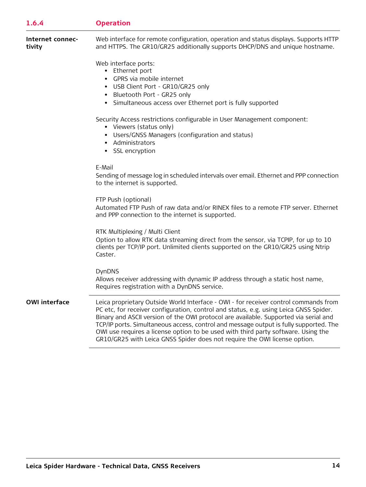## <span id="page-13-0"></span>**1.6.4 Operation**

| Internet connec- | Web interface for remote configuration, operation and status displays. Supports HTTP |
|------------------|--------------------------------------------------------------------------------------|
| tivity           | and HTTPS. The GR10/GR25 additionally supports DHCP/DNS and unique hostname.         |

Web interface ports:

- Ethernet port
- GPRS via mobile internet
- USB Client Port GR10/GR25 only
- Bluetooth Port GR25 only
- Simultaneous access over Ethernet port is fully supported

Security Access restrictions configurable in User Management component:

- Viewers (status only)
- Users/GNSS Managers (configuration and status)
- Administrators
- SSL encryption

#### E-Mail

Sending of message log in scheduled intervals over email. Ethernet and PPP connection to the internet is supported.

#### FTP Push (optional)

Automated FTP Push of raw data and/or RINEX files to a remote FTP server. Ethernet and PPP connection to the internet is supported.

RTK Multiplexing / Multi Client

Option to allow RTK data streaming direct from the sensor, via TCPIP, for up to 10 clients per TCP/IP port. Unlimited clients supported on the GR10/GR25 using Ntrip Caster.

#### DynDNS

Allows receiver addressing with dynamic IP address through a static host name, Requires registration with a DynDNS service.

**OWI interface** Leica proprietary Outside World Interface - OWI - for receiver control commands from PC etc, for receiver configuration, control and status, e.g. using Leica GNSS Spider. Binary and ASCII version of the OWI protocol are available. Supported via serial and TCP/IP ports. Simultaneous access, control and message output is fully supported. The OWI use requires a license option to be used with third party software. Using the GR10/GR25 with Leica GNSS Spider does not require the OWI license option.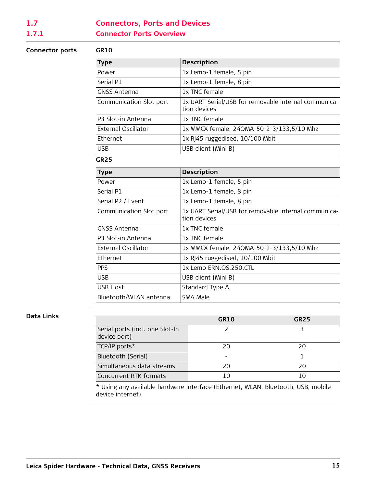# <span id="page-14-1"></span><span id="page-14-0"></span>**1.7 Connectors, Ports and Devices 1.7.1 Connector Ports Overview**

#### **Connector ports GR10**

| <b>Type</b>             | <b>Description</b>                                                   |
|-------------------------|----------------------------------------------------------------------|
| Power                   | 1x Lemo-1 female, 5 pin                                              |
| Serial P1               | 1x Lemo-1 female, 8 pin                                              |
| <b>GNSS Antenna</b>     | 1x TNC female                                                        |
| Communication Slot port | 1x UART Serial/USB for removable internal communica-<br>tion devices |
| P3 Slot-in Antenna      | 1x TNC female                                                        |
| External Oscillator     | 1x MMCX female, 24QMA-50-2-3/133,5/10 Mhz                            |
| Ethernet                | 1x RJ45 ruggedised, 10/100 Mbit                                      |
| <b>USB</b>              | USB client (Mini B)                                                  |

#### **GR25**

| <b>Type</b>             | <b>Description</b>                                                   |
|-------------------------|----------------------------------------------------------------------|
| Power                   | 1x Lemo-1 female, 5 pin                                              |
| Serial P1               | 1x Lemo-1 female, 8 pin                                              |
| Serial P2 / Event       | 1x Lemo-1 female, 8 pin                                              |
| Communication Slot port | 1x UART Serial/USB for removable internal communica-<br>tion devices |
| GNSS Antenna            | 1x TNC female                                                        |
| P3 Slot-in Antenna      | 1x TNC female                                                        |
| External Oscillator     | 1x MMCX female, 24QMA-50-2-3/133,5/10 Mhz                            |
| Ethernet                | 1x RJ45 ruggedised, 10/100 Mbit                                      |
| <b>PPS</b>              | 1x Lemo ERN.OS.250.CTL                                               |
| USB.                    | USB client (Mini B)                                                  |
| USB Host                | Standard Type A                                                      |
| Bluetooth/WLAN antenna  | SMA Male                                                             |

#### **Data Links**

|                                                 | GR10 | GR <sub>25</sub> |
|-------------------------------------------------|------|------------------|
| Serial ports (incl. one Slot-In<br>device port) |      |                  |
| TCP/IP ports*                                   | 20   | 20               |
| Bluetooth (Serial)                              |      |                  |
| Simultaneous data streams                       | 20   | 20               |
| Concurrent RTK formats                          | 10   |                  |

\* Using any available hardware interface (Ethernet, WLAN, Bluetooth, USB, mobile device internet).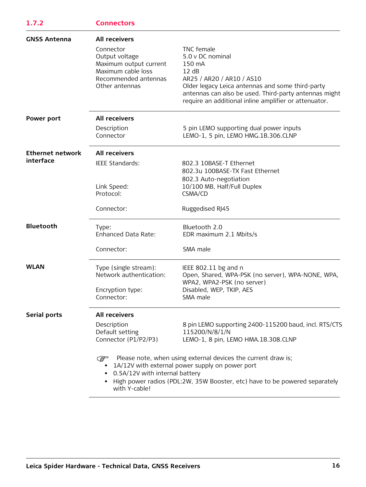<span id="page-15-0"></span>

| <b>GNSS Antenna</b>     | <b>All receivers</b>                                                                                                  |                                                                                                                                                                                                                                                      |
|-------------------------|-----------------------------------------------------------------------------------------------------------------------|------------------------------------------------------------------------------------------------------------------------------------------------------------------------------------------------------------------------------------------------------|
|                         | Connector<br>Output voltage<br>Maximum output current<br>Maximum cable loss<br>Recommended antennas<br>Other antennas | TNC female<br>5.0 v DC nominal<br>150 mA<br>12 dB<br>AR25 / AR20 / AR10 / AS10<br>Older legacy Leica antennas and some third-party<br>antennas can also be used. Third-party antennas might<br>require an additional inline amplifier or attenuator. |
| Power port              | <b>All receivers</b>                                                                                                  |                                                                                                                                                                                                                                                      |
|                         | Description<br>Connector                                                                                              | 5 pin LEMO supporting dual power inputs<br>LEMO-1, 5 pin, LEMO HMG.1B.306.CLNP                                                                                                                                                                       |
| <b>Ethernet network</b> | <b>All receivers</b>                                                                                                  |                                                                                                                                                                                                                                                      |
| interface               | IEEE Standards:                                                                                                       | 802.3 10BASE-T Ethernet<br>802.3u 100BASE-TX Fast Ethernet<br>802.3 Auto-negotiation                                                                                                                                                                 |
|                         | Link Speed:<br>Protocol:                                                                                              | 10/100 MB, Half/Full Duplex<br>CSMA/CD                                                                                                                                                                                                               |
|                         | Connector:                                                                                                            | Ruggedised RJ45                                                                                                                                                                                                                                      |
| <b>Bluetooth</b>        | Type:<br>Enhanced Data Rate:                                                                                          | Bluetooth 2.0<br>EDR maximum 2.1 Mbits/s                                                                                                                                                                                                             |
|                         | Connector:                                                                                                            | SMA male                                                                                                                                                                                                                                             |
| <b>WLAN</b>             | Type (single stream):<br>Network authentication:<br>Encryption type:                                                  | IEEE 802.11 bg and n<br>Open, Shared, WPA-PSK (no server), WPA-NONE, WPA,<br>WPA2, WPA2-PSK (no server)<br>Disabled, WEP, TKIP, AES                                                                                                                  |
|                         | Connector:                                                                                                            | SMA male                                                                                                                                                                                                                                             |
| Serial ports            | <b>All receivers</b>                                                                                                  |                                                                                                                                                                                                                                                      |
|                         | Description<br>Default setting<br>Connector (P1/P2/P3)                                                                | 8 pin LEMO supporting 2400-115200 baud, incl. RTS/CTS<br>115200/N/8/1/N<br>LEMO-1, 8 pin, LEMO HMA.1B.308.CLNP                                                                                                                                       |
|                         | <b>P</b><br>0.5A/12V with internal battery<br>with Y-cable!                                                           | Please note, when using external devices the current draw is;<br>1A/12V with external power supply on power port<br>High power radios (PDL:2W, 35W Booster, etc) have to be powered separately                                                       |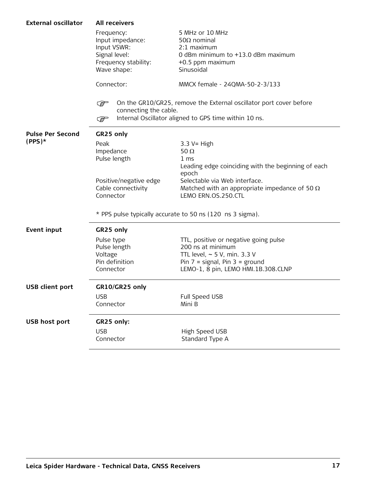| <b>External oscillator</b> | <b>All receivers</b>                                                                                  |                                                                                                                                                                              |  |  |  |
|----------------------------|-------------------------------------------------------------------------------------------------------|------------------------------------------------------------------------------------------------------------------------------------------------------------------------------|--|--|--|
|                            | Frequency:<br>Input impedance:<br>Input VSWR:<br>Signal level:<br>Frequency stability:<br>Wave shape: | 5 MHz or 10 MHz<br>$50\Omega$ nominal<br>2:1 maximum<br>0 dBm minimum to +13.0 dBm maximum<br>+0.5 ppm maximum<br>Sinusoidal                                                 |  |  |  |
|                            | Connector:                                                                                            | MMCX female - 24QMA-50-2-3/133                                                                                                                                               |  |  |  |
|                            | کی ا<br>connecting the cable.<br>كملي                                                                 | On the GR10/GR25, remove the External oscillator port cover before<br>Internal Oscillator aligned to GPS time within 10 ns.                                                  |  |  |  |
| <b>Pulse Per Second</b>    | GR25 only                                                                                             |                                                                                                                                                                              |  |  |  |
| $(PPS)*$                   | Peak<br>Impedance<br>Pulse length                                                                     | $3.3 V = High$<br>50 $\Omega$<br>1 <sub>ms</sub><br>Leading edge coinciding with the beginning of each                                                                       |  |  |  |
|                            | Positive/negative edge<br>Cable connectivity<br>Connector                                             | epoch<br>Selectable via Web interface.<br>Matched with an appropriate impedance of 50 $\Omega$<br>LEMO ERN.OS.250.CTL                                                        |  |  |  |
|                            |                                                                                                       | * PPS pulse typically accurate to 50 ns (120 ns 3 sigma).                                                                                                                    |  |  |  |
| <b>Event input</b>         | GR25 only                                                                                             |                                                                                                                                                                              |  |  |  |
|                            | Pulse type<br>Pulse length<br>Voltage<br>Pin definition<br>Connector                                  | TTL, positive or negative going pulse<br>200 ns at minimum<br>TTL level, $\sim$ 5 V, min. 3.3 V<br>Pin $7 =$ signal, Pin $3 =$ ground<br>LEMO-1, 8 pin, LEMO HMI.1B.308.CLNP |  |  |  |
| <b>USB client port</b>     | GR10/GR25 only                                                                                        |                                                                                                                                                                              |  |  |  |
|                            | <b>USB</b><br>Connector                                                                               | Full Speed USB<br>Mini B                                                                                                                                                     |  |  |  |
| <b>USB host port</b>       | GR25 only:                                                                                            |                                                                                                                                                                              |  |  |  |
|                            | <b>USB</b><br>Connector                                                                               | High Speed USB<br>Standard Type A                                                                                                                                            |  |  |  |
|                            |                                                                                                       |                                                                                                                                                                              |  |  |  |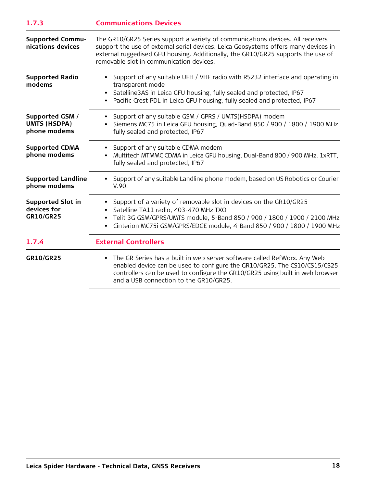<span id="page-17-0"></span>

| 1.7.3                                                  | <b>Communications Devices</b><br>The GR10/GR25 Series support a variety of communications devices. All receivers<br>support the use of external serial devices. Leica Geosystems offers many devices in<br>external ruggedised GFU housing. Additionally, the GR10/GR25 supports the use of<br>removable slot in communication devices. |  |  |
|--------------------------------------------------------|-----------------------------------------------------------------------------------------------------------------------------------------------------------------------------------------------------------------------------------------------------------------------------------------------------------------------------------------|--|--|
| <b>Supported Commu-</b><br>nications devices           |                                                                                                                                                                                                                                                                                                                                         |  |  |
| <b>Supported Radio</b><br>modems                       | • Support of any suitable UFH / VHF radio with RS232 interface and operating in<br>transparent mode<br>• Satelline 3AS in Leica GFU housing, fully sealed and protected, IP67<br>• Pacific Crest PDL in Leica GFU housing, fully sealed and protected, IP67                                                                             |  |  |
| Supported GSM /<br><b>UMTS (HSDPA)</b><br>phone modems | • Support of any suitable GSM / GPRS / UMTS(HSDPA) modem<br>• Siemens MC75 in Leica GFU housing, Quad-Band 850 / 900 / 1800 / 1900 MHz<br>fully sealed and protected, IP67                                                                                                                                                              |  |  |

| <b>Supported CDMA</b><br>phone modems                       | Support of any suitable CDMA modem<br>Multitech MTMMC CDMA in Leica GFU housing, Dual-Band 800 / 900 MHz, 1xRTT,<br>fully sealed and protected, IP67                                                                                                                  |
|-------------------------------------------------------------|-----------------------------------------------------------------------------------------------------------------------------------------------------------------------------------------------------------------------------------------------------------------------|
| <b>Supported Landline</b><br>phone modems                   | Support of any suitable Landline phone modem, based on US Robotics or Courier<br>V.90.                                                                                                                                                                                |
| <b>Supported Slot in</b><br>devices for<br><b>GR10/GR25</b> | • Support of a variety of removable slot in devices on the GR10/GR25<br>Satelline TA11 radio, 403-470 MHz TXO<br>Telit 3G GSM/GPRS/UMTS module, 5-Band 850 / 900 / 1800 / 1900 / 2100 MHz<br>Cinterion MC75i GSM/GPRS/EDGE module, 4-Band 850 / 900 / 1800 / 1900 MHz |
| 1.7.4                                                       | <b>External Controllers</b>                                                                                                                                                                                                                                           |
| <b>GR10/GR25</b>                                            | The GR Series has a built in web server software called RefWorx. Any Web<br>enabled device can be used to configure the GR10/GR25. The CS10/CS15/CS25<br>controllers can be used to configure the GR10/GR25 using built in web browser                                |

<span id="page-17-1"></span>and a USB connection to the GR10/GR25.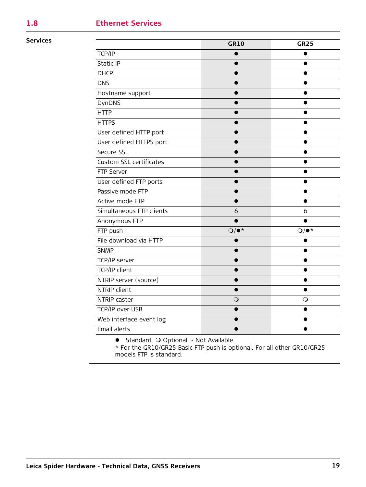# <span id="page-18-0"></span>**1.8 Ethernet Services**

#### **Services**

|                          | <b>GR10</b>   | <b>GR25</b>   |
|--------------------------|---------------|---------------|
| TCP/IP                   |               |               |
| Static IP                |               |               |
| <b>DHCP</b>              |               |               |
| <b>DNS</b>               |               |               |
| Hostname support         |               |               |
| <b>DynDNS</b>            |               |               |
| <b>HTTP</b>              |               |               |
| <b>HTTPS</b>             |               |               |
| User defined HTTP port   |               |               |
| User defined HTTPS port  |               |               |
| Secure SSL               |               |               |
| Custom SSL certificates  |               |               |
| FTP Server               |               |               |
| User defined FTP ports   |               |               |
| Passive mode FTP         |               |               |
| Active mode FTP          |               |               |
| Simultaneous FTP clients | 6             | 6             |
| Anonymous FTP            |               |               |
| FTP push                 | $Q/\bullet^*$ | $Q/\bullet^*$ |
| File download via HTTP   |               |               |
| <b>SNMP</b>              |               |               |
| TCP/IP server            |               |               |
| TCP/IP client            |               |               |
| NTRIP server (source)    |               |               |
| NTRIP client             |               |               |
| NTRIP caster             | $\mathsf{O}$  | $\mathsf{O}$  |
| TCP/IP over USB          |               |               |
| Web interface event log  |               |               |
| Email alerts             |               |               |

• Standard O Optional - Not Available

\* For the GR10/GR25 Basic FTP push is optional. For all other GR10/GR25 models FTP is standard.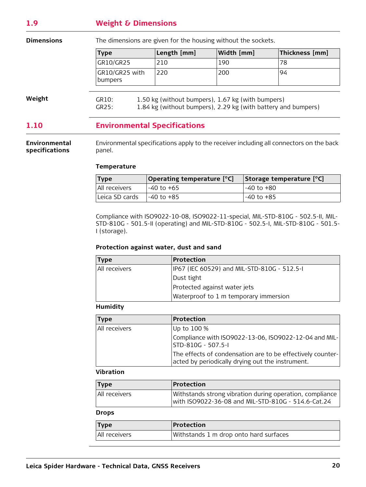# <span id="page-19-0"></span>**1.9 Weight & Dimensions**

**Dimensions** The dimensions are given for the housing without the sockets.

| <b>Type</b>               | Length [mm] | Width [mm] | Thickness [mm] |
|---------------------------|-------------|------------|----------------|
| GR10/GR25                 | 210         | 190        | 78             |
| GR10/GR25 with<br>bumpers | 220         | 200        | 94             |

**Weight**

GR10: 1.50 kg (without bumpers), 1.67 kg (with bumpers) GR25: 1.84 kg (without bumpers), 2.29 kg (with battery and bumpers)

# <span id="page-19-1"></span>**1.10 Environmental Specifications**

**Environmental specifications** Environmental specifications apply to the receiver including all connectors on the back panel.

#### **Temperature**

| <b>Type</b>      | Operating temperature [°C] | Storage temperature [°C] |
|------------------|----------------------------|--------------------------|
| All receivers    | -40 to +65                 | -40 to +80               |
| ı Leica SD cards | l-40 to +85                | -40 to +85               |

Compliance with ISO9022-10-08, ISO9022-11-special, MIL-STD-810G - 502.5-II, MIL-STD-810G - 501.5-II (operating) and MIL-STD-810G - 502.5-I, MIL-STD-810G - 501.5- I (storage).

#### **Protection against water, dust and sand**

| <b>Type</b>   | Protection                                  |  |
|---------------|---------------------------------------------|--|
| All receivers | IP67 (IEC 60529) and MIL-STD-810G - 512.5-I |  |
|               | Dust tight                                  |  |
|               | Protected against water jets                |  |
|               | Waterproof to 1 m temporary immersion       |  |

#### **Humidity**

| <b>Type</b>   | Protection                                                                                                     |
|---------------|----------------------------------------------------------------------------------------------------------------|
| All receivers | Up to 100 %                                                                                                    |
|               | Compliance with ISO9022-13-06, ISO9022-12-04 and MIL-<br>STD-810G - 507.5-I                                    |
|               | The effects of condensation are to be effectively counter-<br>acted by periodically drying out the instrument. |

#### **Vibration**

| Type          | <b>Protection</b>                                                                                               |
|---------------|-----------------------------------------------------------------------------------------------------------------|
| All receivers | Withstands strong vibration during operation, compliance<br>Iwith ISO9022-36-08 and MIL-STD-810G - 514.6-Cat.24 |

#### **Drops**

| <b>Type</b>   | Protection                             |
|---------------|----------------------------------------|
| All receivers | Withstands 1 m drop onto hard surfaces |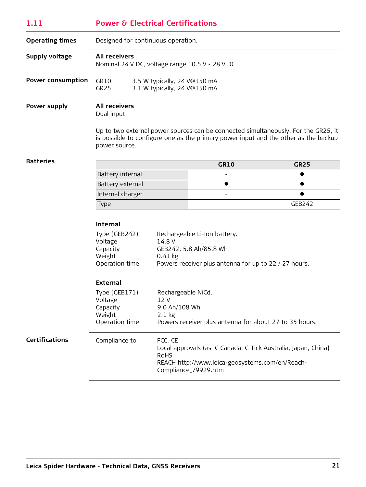<span id="page-20-0"></span>

| 1.11                     | <b>Power &amp; Electrical Certifications</b>                                                                                                                                         |                                                              |                                                        |                                                                                                                                                                           |  |
|--------------------------|--------------------------------------------------------------------------------------------------------------------------------------------------------------------------------------|--------------------------------------------------------------|--------------------------------------------------------|---------------------------------------------------------------------------------------------------------------------------------------------------------------------------|--|
| <b>Operating times</b>   | Designed for continuous operation.                                                                                                                                                   |                                                              |                                                        |                                                                                                                                                                           |  |
| <b>Supply voltage</b>    | <b>All receivers</b>                                                                                                                                                                 | Nominal 24 V DC, voltage range 10.5 V - 28 V DC              |                                                        |                                                                                                                                                                           |  |
| <b>Power consumption</b> | GR10<br>GR <sub>25</sub>                                                                                                                                                             | 3.5 W typically, 24 V@150 mA<br>3.1 W typically, 24 V@150 mA |                                                        |                                                                                                                                                                           |  |
| Power supply             | <b>All receivers</b><br>Dual input                                                                                                                                                   |                                                              |                                                        |                                                                                                                                                                           |  |
|                          | power source.                                                                                                                                                                        |                                                              |                                                        | Up to two external power sources can be connected simultaneously. For the GR25, it<br>is possible to configure one as the primary power input and the other as the backup |  |
| <b>Batteries</b>         |                                                                                                                                                                                      |                                                              | <b>GR10</b>                                            | <b>GR25</b>                                                                                                                                                               |  |
|                          | Battery internal                                                                                                                                                                     |                                                              |                                                        | $\bullet$                                                                                                                                                                 |  |
|                          | Battery external                                                                                                                                                                     |                                                              | ●                                                      |                                                                                                                                                                           |  |
|                          | Internal charger                                                                                                                                                                     |                                                              |                                                        |                                                                                                                                                                           |  |
|                          | Type                                                                                                                                                                                 |                                                              |                                                        | <b>GEB242</b>                                                                                                                                                             |  |
|                          | <b>Internal</b>                                                                                                                                                                      |                                                              |                                                        |                                                                                                                                                                           |  |
|                          | Type (GEB242)<br>Rechargeable Li-Ion battery.                                                                                                                                        |                                                              |                                                        |                                                                                                                                                                           |  |
|                          | Voltage<br>Capacity                                                                                                                                                                  | 14.8 V                                                       | GEB242: 5.8 Ah/85.8 Wh                                 |                                                                                                                                                                           |  |
|                          | Weight                                                                                                                                                                               | $0.41$ kg                                                    |                                                        |                                                                                                                                                                           |  |
|                          | Operation time                                                                                                                                                                       |                                                              | Powers receiver plus antenna for up to 22 / 27 hours.  |                                                                                                                                                                           |  |
|                          | <b>External</b>                                                                                                                                                                      |                                                              |                                                        |                                                                                                                                                                           |  |
|                          | Type (GEB171)                                                                                                                                                                        | Rechargeable NiCd.                                           |                                                        |                                                                                                                                                                           |  |
|                          | Voltage<br>Capacity                                                                                                                                                                  | 12 V<br>9.0 Ah/108 Wh                                        |                                                        |                                                                                                                                                                           |  |
|                          | Weight                                                                                                                                                                               | $2.1$ kg                                                     |                                                        |                                                                                                                                                                           |  |
|                          | Operation time                                                                                                                                                                       |                                                              | Powers receiver plus antenna for about 27 to 35 hours. |                                                                                                                                                                           |  |
| <b>Certifications</b>    | Compliance to<br>FCC, CE<br>Local approvals (as IC Canada, C-Tick Australia, Japan, China)<br><b>RoHS</b><br>REACH http://www.leica-geosystems.com/en/Reach-<br>Compliance_79929.htm |                                                              |                                                        |                                                                                                                                                                           |  |
|                          |                                                                                                                                                                                      |                                                              |                                                        |                                                                                                                                                                           |  |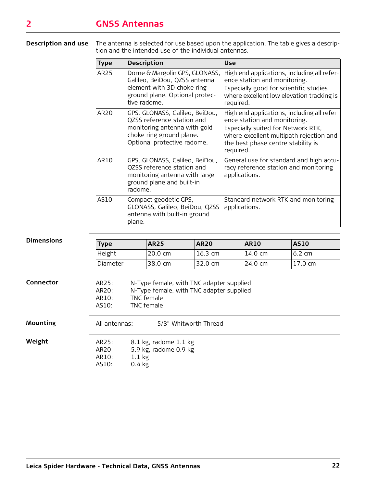<span id="page-21-0"></span>**Description and use** The antenna is selected for use based upon the application. The table gives a description and the intended use of the individual antennas.

| <b>Type</b>      | <b>Description</b>                                                                                                                                      | <b>Use</b>                                                                                                                                                                                                      |
|------------------|---------------------------------------------------------------------------------------------------------------------------------------------------------|-----------------------------------------------------------------------------------------------------------------------------------------------------------------------------------------------------------------|
| AR <sub>25</sub> | Dorne & Margolin GPS, GLONASS,<br>Galileo, BeiDou, QZSS antenna<br>element with 3D choke ring<br>ground plane. Optional protec-<br>tive radome.         | High end applications, including all refer-<br>ence station and monitoring.<br>Especially good for scientific studies<br>where excellent low elevation tracking is<br>required.                                 |
| AR20             | GPS, GLONASS, Galileo, BeiDou,<br>QZSS reference station and<br>monitoring antenna with gold<br>choke ring ground plane.<br>Optional protective radome. | High end applications, including all refer-<br>ence station and monitoring.<br>Especially suited for Network RTK,<br>where excellent multipath rejection and<br>the best phase centre stability is<br>required. |
| AR10             | GPS, GLONASS, Galileo, BeiDou,<br>QZSS reference station and<br>monitoring antenna with large<br>ground plane and built-in<br>radome.                   | General use for standard and high accu-<br>racy reference station and monitoring<br>applications.                                                                                                               |
| AS10             | Compact geodetic GPS,<br>GLONASS, Galileo, BeiDou, QZSS<br>antenna with built-in ground<br>plane.                                                       | Standard network RTK and monitoring<br>applications.                                                                                                                                                            |

| <b>Dimensions</b> | <b>Type</b>                                                                 | <b>AR25</b>                                                                                                      | <b>AR20</b>         | <b>AR10</b>       | <b>AS10</b>       |
|-------------------|-----------------------------------------------------------------------------|------------------------------------------------------------------------------------------------------------------|---------------------|-------------------|-------------------|
|                   | Height                                                                      | 20.0 cm                                                                                                          | $16.3 \text{ cm}$   | $14.0 \text{ cm}$ | $6.2 \text{ cm}$  |
|                   | <b>Diameter</b>                                                             | 38.0 cm                                                                                                          | $32.0 \, \text{cm}$ | $24.0 \text{ cm}$ | $17.0 \text{ cm}$ |
| Connector         | AR25:<br>AR20:<br>AR10:<br>AS10:                                            | N-Type female, with TNC adapter supplied<br>N-Type female, with TNC adapter supplied<br>TNC female<br>TNC female |                     |                   |                   |
| Mounting          | All antennas:                                                               | 5/8" Whitworth Thread                                                                                            |                     |                   |                   |
| Weight            | AR25:<br>AR <sub>20</sub><br>AR10:<br>$1.1 \text{ kg}$<br>AS10:<br>$0.4$ kg | 8.1 kg, radome 1.1 kg<br>5.9 kg, radome 0.9 kg                                                                   |                     |                   |                   |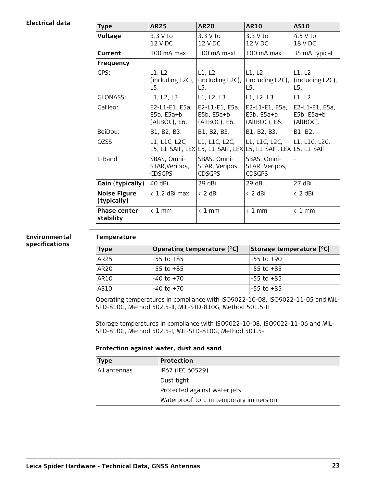#### **Electrical data**

| <b>Type</b>                        | <b>AR25</b>                                     | <b>AR20</b>                                                         | <b>AR10</b>                                     | <b>AS10</b>                                 |
|------------------------------------|-------------------------------------------------|---------------------------------------------------------------------|-------------------------------------------------|---------------------------------------------|
| <b>Voltage</b>                     | 3.3 V to<br>12 V DC                             | 3.3 V to<br>12 V DC                                                 | 3.3 V to<br>12 V DC                             | $4.5V$ to<br>18 V DC                        |
| Current                            | $100 \text{ mA}$ max                            | 100 mA maxl                                                         | 100 mA maxl                                     | 35 mA typical                               |
| <b>Frequency</b>                   |                                                 |                                                                     |                                                 |                                             |
| GPS:                               | L1, L2<br>(including L2C),<br>L5.               | L1, L2<br>(including L2C),<br>L5.                                   | L1, L2<br>(including L2C),<br>L5.               | L1, L2<br>(including L2C),<br>L5.           |
| GLONASS:                           | L1, L2, L3.                                     | L1, L2, L3.                                                         | L1, L2, L3.                                     | L1, L2.                                     |
| Galileo:                           | E2-L1-E1, E5a,<br>$E5b, E5a+b$<br>(AltBOC), E6. | E2-L1-E1, E5a,<br>$E5b, E5a+b$<br>(AltBOC), E6.                     | E2-L1-E1, E5a,<br>$E5b, E5a+b$<br>(AltBOC), E6. | E2-L1-E1, E5a,<br>$E5b, E5a+b$<br>(AltBOC). |
| BeiDou:                            | B1, B2, B3.                                     | B1, B2, B3.                                                         | B1, B2, B3.                                     | B1, B2.                                     |
| QZSS                               | L1, L1C, L2C,                                   | L1, L1C, L2C,<br>L5, L1-SAIF, LEX L5, L1-SAIF, LEX L5, L1-SAIF, LEX | L1, L1C, L2C,                                   | L1, L1C, L2C,<br>L5, L1-SAIF                |
| L-Band                             | SBAS, Omni-<br>STAR, Veripos,<br><b>CDSGPS</b>  | SBAS, Omni-<br>STAR, Veripos,<br><b>CDSGPS</b>                      | SBAS, Omni-<br>STAR, Veripos,<br><b>CDSGPS</b>  |                                             |
| Gain (typically)                   | 40 dBi                                          | 29 dBi                                                              | 29 dBi                                          | 27 dBi                                      |
| <b>Noise Figure</b><br>(typically) | $\langle$ 1.2 dBi max                           | < 2 dBi                                                             | < 2 dBi                                         | < 2 dBi                                     |
| <b>Phase center</b><br>stability   | $\langle$ 1 mm                                  | $\langle$ 1 mm                                                      | $\langle$ 1 mm                                  | $\langle$ 1 mm                              |

#### **Environmental specifications**

#### **Temperature**

| <b>Type</b>      | Operating temperature [°C] | Storage temperature [°C] |
|------------------|----------------------------|--------------------------|
| AR25             | $-55$ to $+85$             | ⊩-55 to +90              |
| AR <sub>20</sub> | $-55$ to $+85$             | l-55 to +85              |
| AR10             | -40 to +70                 | l-55 to +85              |
| AS10             | -40 to +70                 | l-55 to +85              |

Operating temperatures in compliance with ISO9022-10-08, ISO9022-11-05 and MIL-STD-810G, Method 502.5-II, MIL-STD-810G, Method 501.5-II

Storage temperatures in compliance with ISO9022-10-08, ISO9022-11-06 and MIL-STD-810G, Method 502.5-I, MIL-STD-810G, Method 501.5-I

#### **Protection against water, dust and sand**

| <b>Type</b>  | <b>Protection</b>                     |
|--------------|---------------------------------------|
| All antennas | IP67 (IEC 60529)                      |
|              | Dust tight                            |
|              | Protected against water jets          |
|              | Waterproof to 1 m temporary immersion |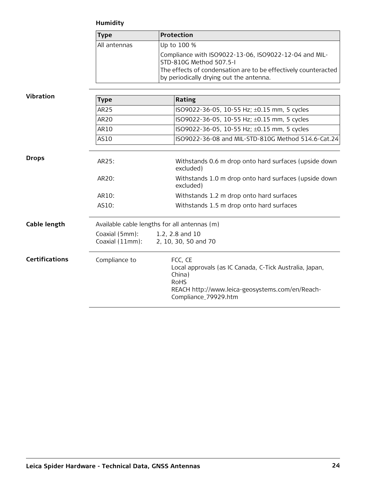## **Humidity**

|                       | <b>Type</b>                                  | <b>Protection</b>                                                                                                                                                      |  |
|-----------------------|----------------------------------------------|------------------------------------------------------------------------------------------------------------------------------------------------------------------------|--|
|                       | All antennas                                 | Up to 100 %                                                                                                                                                            |  |
|                       |                                              | Compliance with ISO9022-13-06, ISO9022-12-04 and MIL-<br>STD-810G Method 507.5-I                                                                                       |  |
|                       |                                              | The effects of condensation are to be effectively counteracted<br>by periodically drying out the antenna.                                                              |  |
| <b>Vibration</b>      | <b>Type</b>                                  | Rating                                                                                                                                                                 |  |
|                       | AR25                                         | ISO9022-36-05, 10-55 Hz; ±0.15 mm, 5 cycles                                                                                                                            |  |
|                       | <b>AR20</b>                                  | ISO9022-36-05, 10-55 Hz; ±0.15 mm, 5 cycles                                                                                                                            |  |
|                       | AR10                                         | ISO9022-36-05, 10-55 Hz; ±0.15 mm, 5 cycles                                                                                                                            |  |
|                       | AS10                                         | ISO9022-36-08 and MIL-STD-810G Method 514.6-Cat.24                                                                                                                     |  |
| <b>Drops</b>          | AR25:                                        | Withstands 0.6 m drop onto hard surfaces (upside down<br>excluded)                                                                                                     |  |
|                       | AR20:                                        | Withstands 1.0 m drop onto hard surfaces (upside down<br>excluded)                                                                                                     |  |
|                       | AR10:                                        | Withstands 1.2 m drop onto hard surfaces                                                                                                                               |  |
|                       | AS10:                                        | Withstands 1.5 m drop onto hard surfaces                                                                                                                               |  |
| Cable length          | Available cable lengths for all antennas (m) |                                                                                                                                                                        |  |
|                       | Coaxial (5mm):<br>Coaxial (11mm):            | 1.2, 2.8 and 10<br>2, 10, 30, 50 and 70                                                                                                                                |  |
| <b>Certifications</b> | Compliance to                                | FCC, CE<br>Local approvals (as IC Canada, C-Tick Australia, Japan,<br>China)<br><b>RoHS</b><br>REACH http://www.leica-geosystems.com/en/Reach-<br>Compliance_79929.htm |  |